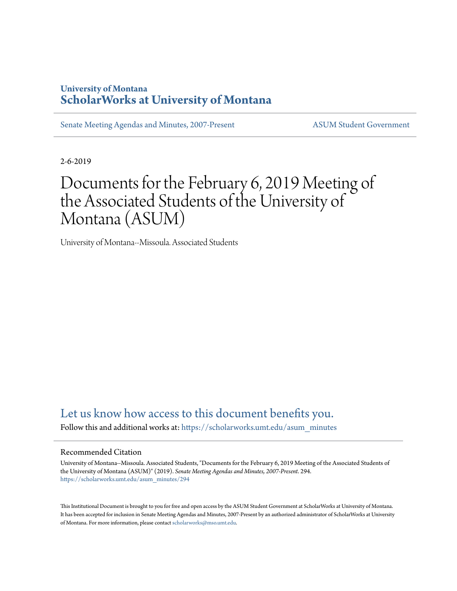## **University of Montana [ScholarWorks at University of Montana](https://scholarworks.umt.edu?utm_source=scholarworks.umt.edu%2Fasum_minutes%2F294&utm_medium=PDF&utm_campaign=PDFCoverPages)**

[Senate Meeting Agendas and Minutes, 2007-Present](https://scholarworks.umt.edu/asum_minutes?utm_source=scholarworks.umt.edu%2Fasum_minutes%2F294&utm_medium=PDF&utm_campaign=PDFCoverPages) [ASUM Student Government](https://scholarworks.umt.edu/student_government?utm_source=scholarworks.umt.edu%2Fasum_minutes%2F294&utm_medium=PDF&utm_campaign=PDFCoverPages)

2-6-2019

# Documents for the February 6, 2019 Meeting of the Associated Students of the University of Montana (ASUM)

University of Montana--Missoula. Associated Students

# [Let us know how access to this document benefits you.](https://goo.gl/forms/s2rGfXOLzz71qgsB2)

Follow this and additional works at: [https://scholarworks.umt.edu/asum\\_minutes](https://scholarworks.umt.edu/asum_minutes?utm_source=scholarworks.umt.edu%2Fasum_minutes%2F294&utm_medium=PDF&utm_campaign=PDFCoverPages)

#### Recommended Citation

University of Montana--Missoula. Associated Students, "Documents for the February 6, 2019 Meeting of the Associated Students of the University of Montana (ASUM)" (2019). *Senate Meeting Agendas and Minutes, 2007-Present*. 294. [https://scholarworks.umt.edu/asum\\_minutes/294](https://scholarworks.umt.edu/asum_minutes/294?utm_source=scholarworks.umt.edu%2Fasum_minutes%2F294&utm_medium=PDF&utm_campaign=PDFCoverPages)

This Institutional Document is brought to you for free and open access by the ASUM Student Government at ScholarWorks at University of Montana. It has been accepted for inclusion in Senate Meeting Agendas and Minutes, 2007-Present by an authorized administrator of ScholarWorks at University of Montana. For more information, please contact [scholarworks@mso.umt.edu](mailto:scholarworks@mso.umt.edu).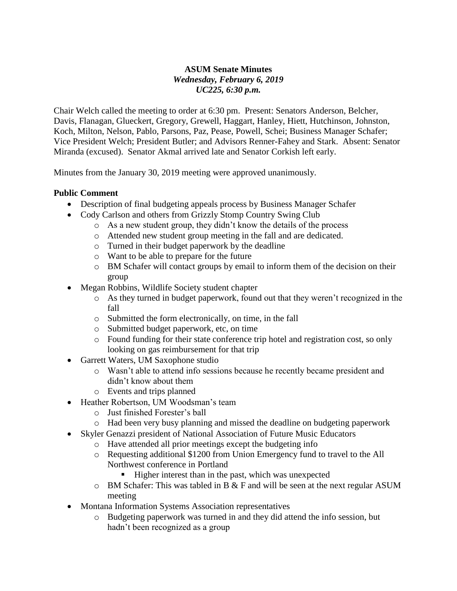#### **ASUM Senate Minutes** *Wednesday, February 6, 2019 UC225, 6:30 p.m.*

Chair Welch called the meeting to order at 6:30 pm. Present: Senators Anderson, Belcher, Davis, Flanagan, Glueckert, Gregory, Grewell, Haggart, Hanley, Hiett, Hutchinson, Johnston, Koch, Milton, Nelson, Pablo, Parsons, Paz, Pease, Powell, Schei; Business Manager Schafer; Vice President Welch; President Butler; and Advisors Renner-Fahey and Stark. Absent: Senator Miranda (excused). Senator Akmal arrived late and Senator Corkish left early.

Minutes from the January 30, 2019 meeting were approved unanimously.

#### **Public Comment**

- Description of final budgeting appeals process by Business Manager Schafer
- Cody Carlson and others from Grizzly Stomp Country Swing Club
	- o As a new student group, they didn't know the details of the process
	- o Attended new student group meeting in the fall and are dedicated.
	- o Turned in their budget paperwork by the deadline
	- o Want to be able to prepare for the future
	- o BM Schafer will contact groups by email to inform them of the decision on their group
- Megan Robbins, Wildlife Society student chapter
	- o As they turned in budget paperwork, found out that they weren't recognized in the fall
	- o Submitted the form electronically, on time, in the fall
	- o Submitted budget paperwork, etc, on time
	- o Found funding for their state conference trip hotel and registration cost, so only looking on gas reimbursement for that trip
- Garrett Waters, UM Saxophone studio
	- o Wasn't able to attend info sessions because he recently became president and didn't know about them
	- o Events and trips planned
- Heather Robertson, UM Woodsman's team
	- o Just finished Forester's ball
	- o Had been very busy planning and missed the deadline on budgeting paperwork
- Skyler Genazzi president of National Association of Future Music Educators
	- o Have attended all prior meetings except the budgeting info
	- o Requesting additional \$1200 from Union Emergency fund to travel to the All Northwest conference in Portland
		- Higher interest than in the past, which was unexpected
	- $\circ$  BM Schafer: This was tabled in B & F and will be seen at the next regular ASUM meeting
- Montana Information Systems Association representatives
	- o Budgeting paperwork was turned in and they did attend the info session, but hadn't been recognized as a group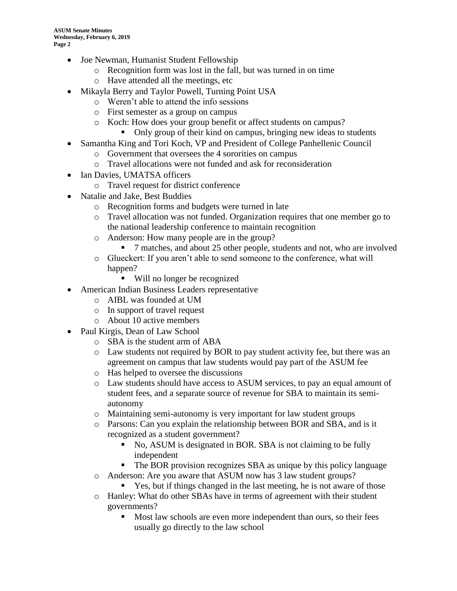- Joe Newman, Humanist Student Fellowship
	- o Recognition form was lost in the fall, but was turned in on time
	- o Have attended all the meetings, etc
- Mikayla Berry and Taylor Powell, Turning Point USA
	- o Weren't able to attend the info sessions
	- o First semester as a group on campus
	- o Koch: How does your group benefit or affect students on campus?
		- Only group of their kind on campus, bringing new ideas to students
- Samantha King and Tori Koch, VP and President of College Panhellenic Council
	- o Government that oversees the 4 sororities on campus
	- o Travel allocations were not funded and ask for reconsideration
- Ian Davies, UMATSA officers
	- o Travel request for district conference
- Natalie and Jake, Best Buddies
	- o Recognition forms and budgets were turned in late
	- o Travel allocation was not funded. Organization requires that one member go to the national leadership conference to maintain recognition
	- o Anderson: How many people are in the group?
		- 7 matches, and about 25 other people, students and not, who are involved
	- o Glueckert: If you aren't able to send someone to the conference, what will happen?
		- Will no longer be recognized
- American Indian Business Leaders representative
	- o AIBL was founded at UM
	- o In support of travel request
	- o About 10 active members
- Paul Kirgis, Dean of Law School
	- o SBA is the student arm of ABA
	- o Law students not required by BOR to pay student activity fee, but there was an agreement on campus that law students would pay part of the ASUM fee
	- o Has helped to oversee the discussions
	- o Law students should have access to ASUM services, to pay an equal amount of student fees, and a separate source of revenue for SBA to maintain its semiautonomy
	- o Maintaining semi-autonomy is very important for law student groups
	- o Parsons: Can you explain the relationship between BOR and SBA, and is it recognized as a student government?
		- No, ASUM is designated in BOR. SBA is not claiming to be fully independent
		- The BOR provision recognizes SBA as unique by this policy language
	- o Anderson: Are you aware that ASUM now has 3 law student groups?
		- Yes, but if things changed in the last meeting, he is not aware of those
	- o Hanley: What do other SBAs have in terms of agreement with their student governments?
		- Most law schools are even more independent than ours, so their fees usually go directly to the law school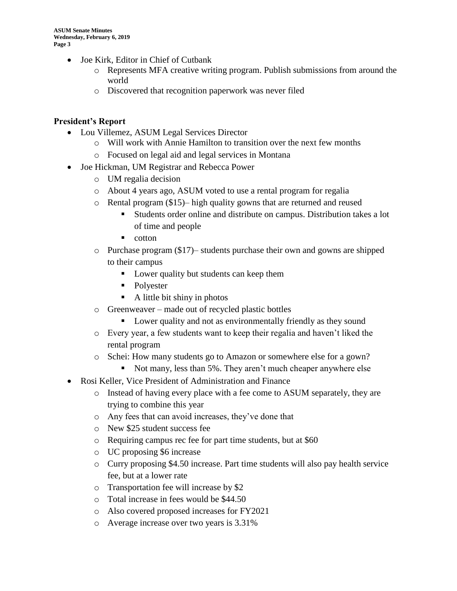- Joe Kirk, Editor in Chief of Cutbank
	- o Represents MFA creative writing program. Publish submissions from around the world
	- o Discovered that recognition paperwork was never filed

### **President's Report**

- Lou Villemez, ASUM Legal Services Director
	- $\circ$  Will work with Annie Hamilton to transition over the next few months
	- o Focused on legal aid and legal services in Montana
- Joe Hickman, UM Registrar and Rebecca Power
	- o UM regalia decision
	- o About 4 years ago, ASUM voted to use a rental program for regalia
	- o Rental program (\$15)– high quality gowns that are returned and reused
		- Students order online and distribute on campus. Distribution takes a lot of time and people
		- cotton
	- o Purchase program (\$17)– students purchase their own and gowns are shipped to their campus
		- Lower quality but students can keep them
		- Polyester
		- A little bit shiny in photos
	- o Greenweaver made out of recycled plastic bottles
		- **•** Lower quality and not as environmentally friendly as they sound
	- o Every year, a few students want to keep their regalia and haven't liked the rental program
	- o Schei: How many students go to Amazon or somewhere else for a gown?
		- Not many, less than 5%. They aren't much cheaper anywhere else
- Rosi Keller, Vice President of Administration and Finance
	- o Instead of having every place with a fee come to ASUM separately, they are trying to combine this year
	- o Any fees that can avoid increases, they've done that
	- o New \$25 student success fee
	- o Requiring campus rec fee for part time students, but at \$60
	- o UC proposing \$6 increase
	- o Curry proposing \$4.50 increase. Part time students will also pay health service fee, but at a lower rate
	- o Transportation fee will increase by \$2
	- o Total increase in fees would be \$44.50
	- o Also covered proposed increases for FY2021
	- o Average increase over two years is 3.31%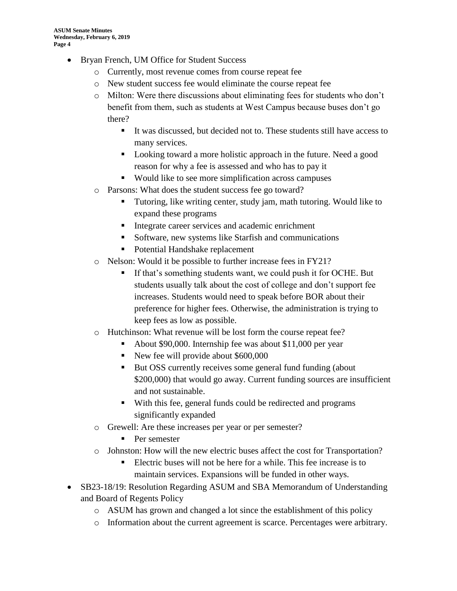- Bryan French, UM Office for Student Success
	- o Currently, most revenue comes from course repeat fee
	- o New student success fee would eliminate the course repeat fee
	- o Milton: Were there discussions about eliminating fees for students who don't benefit from them, such as students at West Campus because buses don't go there?
		- It was discussed, but decided not to. These students still have access to many services.
		- Looking toward a more holistic approach in the future. Need a good reason for why a fee is assessed and who has to pay it
		- Would like to see more simplification across campuses
	- o Parsons: What does the student success fee go toward?
		- Tutoring, like writing center, study jam, math tutoring. Would like to expand these programs
		- Integrate career services and academic enrichment
		- Software, new systems like Starfish and communications
		- Potential Handshake replacement
	- o Nelson: Would it be possible to further increase fees in FY21?
		- **.** If that's something students want, we could push it for OCHE. But students usually talk about the cost of college and don't support fee increases. Students would need to speak before BOR about their preference for higher fees. Otherwise, the administration is trying to keep fees as low as possible.
	- o Hutchinson: What revenue will be lost form the course repeat fee?
		- About \$90,000. Internship fee was about \$11,000 per year
		- New fee will provide about \$600,000
		- But OSS currently receives some general fund funding (about \$200,000) that would go away. Current funding sources are insufficient and not sustainable.
		- With this fee, general funds could be redirected and programs significantly expanded
	- o Grewell: Are these increases per year or per semester?
		- Per semester
	- o Johnston: How will the new electric buses affect the cost for Transportation?
		- Electric buses will not be here for a while. This fee increase is to maintain services. Expansions will be funded in other ways.
- SB23-18/19: Resolution Regarding ASUM and SBA Memorandum of Understanding and Board of Regents Policy
	- o ASUM has grown and changed a lot since the establishment of this policy
	- o Information about the current agreement is scarce. Percentages were arbitrary.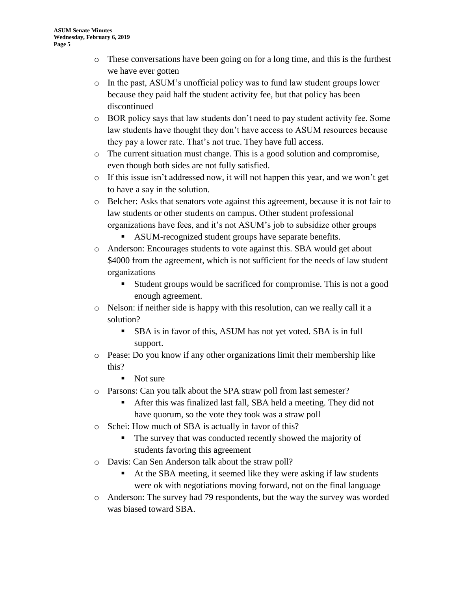- o These conversations have been going on for a long time, and this is the furthest we have ever gotten
- o In the past, ASUM's unofficial policy was to fund law student groups lower because they paid half the student activity fee, but that policy has been discontinued
- o BOR policy says that law students don't need to pay student activity fee. Some law students have thought they don't have access to ASUM resources because they pay a lower rate. That's not true. They have full access.
- $\circ$  The current situation must change. This is a good solution and compromise, even though both sides are not fully satisfied.
- $\circ$  If this issue isn't addressed now, it will not happen this year, and we won't get to have a say in the solution.
- o Belcher: Asks that senators vote against this agreement, because it is not fair to law students or other students on campus. Other student professional organizations have fees, and it's not ASUM's job to subsidize other groups
	- ASUM-recognized student groups have separate benefits.
- o Anderson: Encourages students to vote against this. SBA would get about \$4000 from the agreement, which is not sufficient for the needs of law student organizations
	- Student groups would be sacrificed for compromise. This is not a good enough agreement.
- o Nelson: if neither side is happy with this resolution, can we really call it a solution?
	- SBA is in favor of this, ASUM has not yet voted. SBA is in full support.
- o Pease: Do you know if any other organizations limit their membership like this?
	- Not sure
- o Parsons: Can you talk about the SPA straw poll from last semester?
	- After this was finalized last fall, SBA held a meeting. They did not have quorum, so the vote they took was a straw poll
- o Schei: How much of SBA is actually in favor of this?
	- The survey that was conducted recently showed the majority of students favoring this agreement
- o Davis: Can Sen Anderson talk about the straw poll?
	- At the SBA meeting, it seemed like they were asking if law students were ok with negotiations moving forward, not on the final language
- o Anderson: The survey had 79 respondents, but the way the survey was worded was biased toward SBA.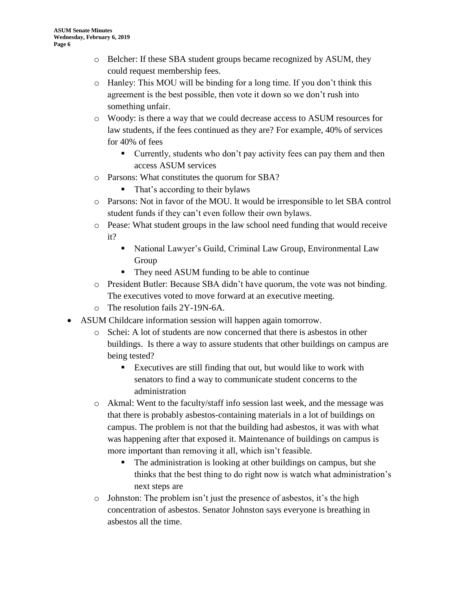- o Belcher: If these SBA student groups became recognized by ASUM, they could request membership fees.
- o Hanley: This MOU will be binding for a long time. If you don't think this agreement is the best possible, then vote it down so we don't rush into something unfair.
- o Woody: is there a way that we could decrease access to ASUM resources for law students, if the fees continued as they are? For example, 40% of services for 40% of fees
	- Currently, students who don't pay activity fees can pay them and then access ASUM services
- o Parsons: What constitutes the quorum for SBA?
	- That's according to their bylaws
- o Parsons: Not in favor of the MOU. It would be irresponsible to let SBA control student funds if they can't even follow their own bylaws.
- o Pease: What student groups in the law school need funding that would receive it?
	- National Lawyer's Guild, Criminal Law Group, Environmental Law Group
	- They need ASUM funding to be able to continue
- o President Butler: Because SBA didn't have quorum, the vote was not binding. The executives voted to move forward at an executive meeting.
- o The resolution fails 2Y-19N-6A.
- ASUM Childcare information session will happen again tomorrow.
	- o Schei: A lot of students are now concerned that there is asbestos in other buildings. Is there a way to assure students that other buildings on campus are being tested?
		- Executives are still finding that out, but would like to work with senators to find a way to communicate student concerns to the administration
	- o Akmal: Went to the faculty/staff info session last week, and the message was that there is probably asbestos-containing materials in a lot of buildings on campus. The problem is not that the building had asbestos, it was with what was happening after that exposed it. Maintenance of buildings on campus is more important than removing it all, which isn't feasible.
		- The administration is looking at other buildings on campus, but she thinks that the best thing to do right now is watch what administration's next steps are
	- o Johnston: The problem isn't just the presence of asbestos, it's the high concentration of asbestos. Senator Johnston says everyone is breathing in asbestos all the time.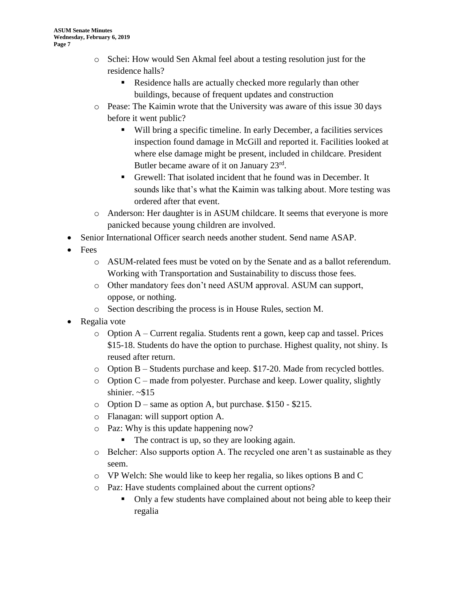- o Schei: How would Sen Akmal feel about a testing resolution just for the residence halls?
	- Residence halls are actually checked more regularly than other buildings, because of frequent updates and construction
- o Pease: The Kaimin wrote that the University was aware of this issue 30 days before it went public?
	- Will bring a specific timeline. In early December, a facilities services inspection found damage in McGill and reported it. Facilities looked at where else damage might be present, included in childcare. President Butler became aware of it on January 23<sup>rd</sup>.
	- Grewell: That isolated incident that he found was in December. It sounds like that's what the Kaimin was talking about. More testing was ordered after that event.
- o Anderson: Her daughter is in ASUM childcare. It seems that everyone is more panicked because young children are involved.
- Senior International Officer search needs another student. Send name ASAP.
- Fees
	- o ASUM-related fees must be voted on by the Senate and as a ballot referendum. Working with Transportation and Sustainability to discuss those fees.
	- o Other mandatory fees don't need ASUM approval. ASUM can support, oppose, or nothing.
	- o Section describing the process is in House Rules, section M.
- Regalia vote
	- $\circ$  Option A Current regalia. Students rent a gown, keep cap and tassel. Prices \$15-18. Students do have the option to purchase. Highest quality, not shiny. Is reused after return.
	- o Option B Students purchase and keep. \$17-20. Made from recycled bottles.
	- $\circ$  Option C made from polyester. Purchase and keep. Lower quality, slightly shinier.  $\sim$ \$15
	- o Option D same as option A, but purchase. \$150 \$215.
	- o Flanagan: will support option A.
	- o Paz: Why is this update happening now?
		- The contract is up, so they are looking again.
	- $\circ$  Belcher: Also supports option A. The recycled one aren't as sustainable as they seem.
	- o VP Welch: She would like to keep her regalia, so likes options B and C
	- o Paz: Have students complained about the current options?
		- Only a few students have complained about not being able to keep their regalia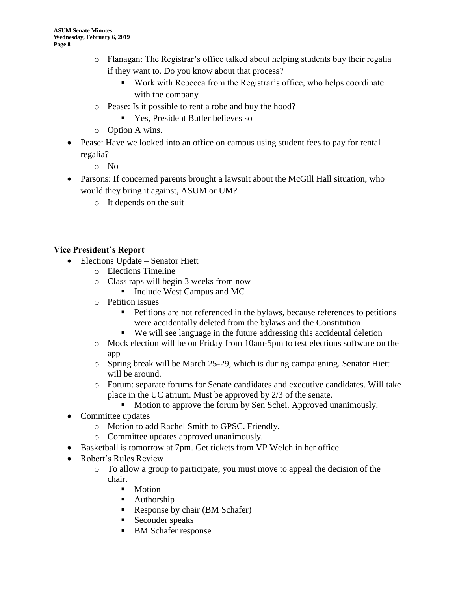- o Flanagan: The Registrar's office talked about helping students buy their regalia if they want to. Do you know about that process?
	- Work with Rebecca from the Registrar's office, who helps coordinate with the company
- o Pease: Is it possible to rent a robe and buy the hood?
	- Yes, President Butler believes so
- o Option A wins.
- Pease: Have we looked into an office on campus using student fees to pay for rental regalia?
	- o No
- Parsons: If concerned parents brought a lawsuit about the McGill Hall situation, who would they bring it against, ASUM or UM?
	- o It depends on the suit

### **Vice President's Report**

- Elections Update Senator Hiett
	- o Elections Timeline
	- o Class raps will begin 3 weeks from now
		- Include West Campus and MC
	- o Petition issues
		- Petitions are not referenced in the bylaws, because references to petitions were accidentally deleted from the bylaws and the Constitution
		- We will see language in the future addressing this accidental deletion
	- o Mock election will be on Friday from 10am-5pm to test elections software on the app
	- o Spring break will be March 25-29, which is during campaigning. Senator Hiett will be around.
	- o Forum: separate forums for Senate candidates and executive candidates. Will take place in the UC atrium. Must be approved by 2/3 of the senate.
		- Motion to approve the forum by Sen Schei. Approved unanimously.
- Committee updates
	- o Motion to add Rachel Smith to GPSC. Friendly.
	- o Committee updates approved unanimously.
- Basketball is tomorrow at 7pm. Get tickets from VP Welch in her office.
- Robert's Rules Review
	- $\circ$  To allow a group to participate, you must move to appeal the decision of the chair.
		- Motion
		- Authorship
		- Response by chair (BM Schafer)
		- Seconder speaks
		- BM Schafer response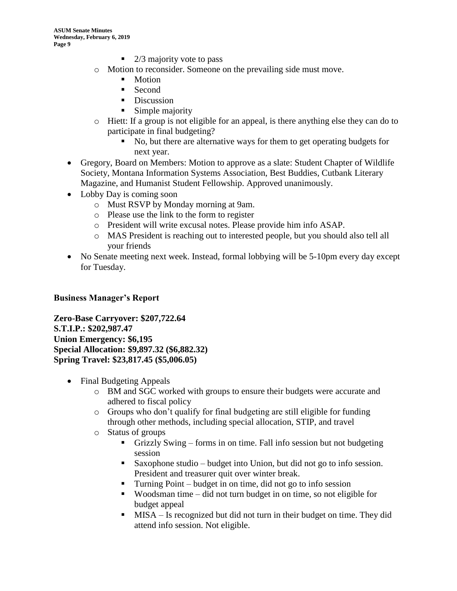- $\blacksquare$  2/3 majority vote to pass
- o Motion to reconsider. Someone on the prevailing side must move.
	- Motion
	- Second
	- Discussion
	- $\blacksquare$  Simple majority
- o Hiett: If a group is not eligible for an appeal, is there anything else they can do to participate in final budgeting?
	- No, but there are alternative ways for them to get operating budgets for next year.
- Gregory, Board on Members: Motion to approve as a slate: Student Chapter of Wildlife Society, Montana Information Systems Association, Best Buddies, Cutbank Literary Magazine, and Humanist Student Fellowship. Approved unanimously.
- Lobby Day is coming soon
	- o Must RSVP by Monday morning at 9am.
	- o Please use the link to the form to register
	- o President will write excusal notes. Please provide him info ASAP.
	- o MAS President is reaching out to interested people, but you should also tell all your friends
- No Senate meeting next week. Instead, formal lobbying will be 5-10pm every day except for Tuesday.

#### **Business Manager's Report**

**Zero-Base Carryover: \$207,722.64 S.T.I.P.: \$202,987.47 Union Emergency: \$6,195 Special Allocation: \$9,897.32 (\$6,882.32) Spring Travel: \$23,817.45 (\$5,006.05)**

- Final Budgeting Appeals
	- o BM and SGC worked with groups to ensure their budgets were accurate and adhered to fiscal policy
	- o Groups who don't qualify for final budgeting are still eligible for funding through other methods, including special allocation, STIP, and travel
	- o Status of groups
		- Grizzly Swing forms in on time. Fall info session but not budgeting session
		- Saxophone studio budget into Union, but did not go to info session. President and treasurer quit over winter break.
		- $\blacksquare$  Turning Point budget in on time, did not go to info session
		- Woodsman time did not turn budget in on time, so not eligible for budget appeal
		- MISA Is recognized but did not turn in their budget on time. They did attend info session. Not eligible.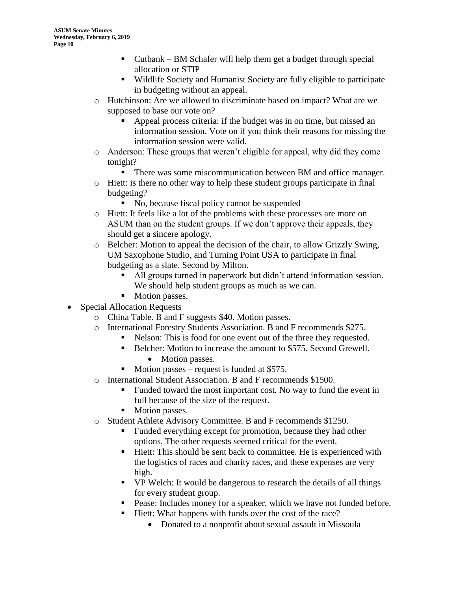- Cutbank BM Schafer will help them get a budget through special allocation or STIP
- Wildlife Society and Humanist Society are fully eligible to participate in budgeting without an appeal.
- o Hutchinson: Are we allowed to discriminate based on impact? What are we supposed to base our vote on?
	- Appeal process criteria: if the budget was in on time, but missed an information session. Vote on if you think their reasons for missing the information session were valid.
- o Anderson: These groups that weren't eligible for appeal, why did they come tonight?
	- **There was some miscommunication between BM and office manager.**
- $\circ$  Hiett: is there no other way to help these student groups participate in final budgeting?
	- No, because fiscal policy cannot be suspended
- o Hiett: It feels like a lot of the problems with these processes are more on ASUM than on the student groups. If we don't approve their appeals, they should get a sincere apology.
- o Belcher: Motion to appeal the decision of the chair, to allow Grizzly Swing, UM Saxophone Studio, and Turning Point USA to participate in final budgeting as a slate. Second by Milton.
	- All groups turned in paperwork but didn't attend information session. We should help student groups as much as we can.
	- Motion passes.
- Special Allocation Requests
	- o China Table. B and F suggests \$40. Motion passes.
	- o International Forestry Students Association. B and F recommends \$275.
		- Nelson: This is food for one event out of the three they requested.
			- Belcher: Motion to increase the amount to \$575. Second Grewell.
				- Motion passes.
			- $\blacksquare$  Motion passes request is funded at \$575.
	- o International Student Association. B and F recommends \$1500.
		- Funded toward the most important cost. No way to fund the event in full because of the size of the request.
		- Motion passes.
	- o Student Athlete Advisory Committee. B and F recommends \$1250.
		- Funded everything except for promotion, because they had other options. The other requests seemed critical for the event.
		- Hiett: This should be sent back to committee. He is experienced with the logistics of races and charity races, and these expenses are very high.
		- VP Welch: It would be dangerous to research the details of all things for every student group.
		- Pease: Includes money for a speaker, which we have not funded before.
		- Hiett: What happens with funds over the cost of the race?
			- Donated to a nonprofit about sexual assault in Missoula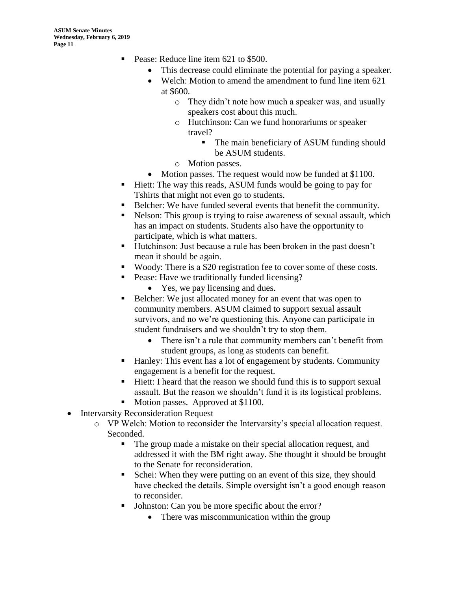- Pease: Reduce line item 621 to \$500.
	- This decrease could eliminate the potential for paying a speaker.
	- Welch: Motion to amend the amendment to fund line item 621 at \$600.
		- o They didn't note how much a speaker was, and usually speakers cost about this much.
		- o Hutchinson: Can we fund honorariums or speaker travel?
			- The main beneficiary of ASUM funding should be ASUM students.
		- o Motion passes.
	- Motion passes. The request would now be funded at \$1100.
- Hiett: The way this reads, ASUM funds would be going to pay for Tshirts that might not even go to students.
- Belcher: We have funded several events that benefit the community.
- Nelson: This group is trying to raise awareness of sexual assault, which has an impact on students. Students also have the opportunity to participate, which is what matters.
- Hutchinson: Just because a rule has been broken in the past doesn't mean it should be again.
- Woody: There is a \$20 registration fee to cover some of these costs.
- Pease: Have we traditionally funded licensing?
	- Yes, we pay licensing and dues.
- Belcher: We just allocated money for an event that was open to community members. ASUM claimed to support sexual assault survivors, and no we're questioning this. Anyone can participate in student fundraisers and we shouldn't try to stop them.
	- There isn't a rule that community members can't benefit from student groups, as long as students can benefit.
- Hanley: This event has a lot of engagement by students. Community engagement is a benefit for the request.
- Hiett: I heard that the reason we should fund this is to support sexual assault. But the reason we shouldn't fund it is its logistical problems.
- Motion passes. Approved at \$1100.
- Intervarsity Reconsideration Request
	- o VP Welch: Motion to reconsider the Intervarsity's special allocation request. Seconded.
		- The group made a mistake on their special allocation request, and addressed it with the BM right away. She thought it should be brought to the Senate for reconsideration.
		- Schei: When they were putting on an event of this size, they should have checked the details. Simple oversight isn't a good enough reason to reconsider.
		- Johnston: Can you be more specific about the error?
			- There was miscommunication within the group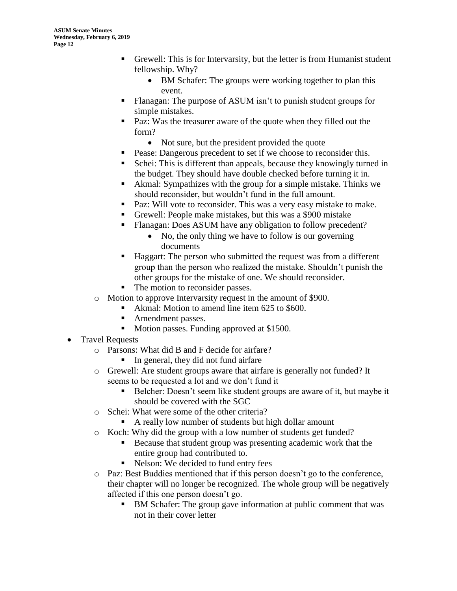- Grewell: This is for Intervarsity, but the letter is from Humanist student fellowship. Why?
	- BM Schafer: The groups were working together to plan this event.
- Flanagan: The purpose of ASUM isn't to punish student groups for simple mistakes.
- Paz: Was the treasurer aware of the quote when they filled out the form?
	- Not sure, but the president provided the quote
- Pease: Dangerous precedent to set if we choose to reconsider this.
- Schei: This is different than appeals, because they knowingly turned in the budget. They should have double checked before turning it in.
- Akmal: Sympathizes with the group for a simple mistake. Thinks we should reconsider, but wouldn't fund in the full amount.
- Paz: Will vote to reconsider. This was a very easy mistake to make.
- Grewell: People make mistakes, but this was a \$900 mistake
- Flanagan: Does ASUM have any obligation to follow precedent?
	- No, the only thing we have to follow is our governing documents
- Haggart: The person who submitted the request was from a different group than the person who realized the mistake. Shouldn't punish the other groups for the mistake of one. We should reconsider.
- The motion to reconsider passes.
- o Motion to approve Intervarsity request in the amount of \$900.
	- Akmal: Motion to amend line item 625 to \$600.
	- Amendment passes.
	- Motion passes. Funding approved at \$1500.
- Travel Requests
	- o Parsons: What did B and F decide for airfare?
		- In general, they did not fund airfare
	- o Grewell: Are student groups aware that airfare is generally not funded? It seems to be requested a lot and we don't fund it
		- Belcher: Doesn't seem like student groups are aware of it, but maybe it
		- should be covered with the SGC
	- o Schei: What were some of the other criteria?
		- A really low number of students but high dollar amount
	- o Koch: Why did the group with a low number of students get funded?
		- Because that student group was presenting academic work that the entire group had contributed to.
		- Nelson: We decided to fund entry fees
	- o Paz: Best Buddies mentioned that if this person doesn't go to the conference, their chapter will no longer be recognized. The whole group will be negatively affected if this one person doesn't go.
		- BM Schafer: The group gave information at public comment that was not in their cover letter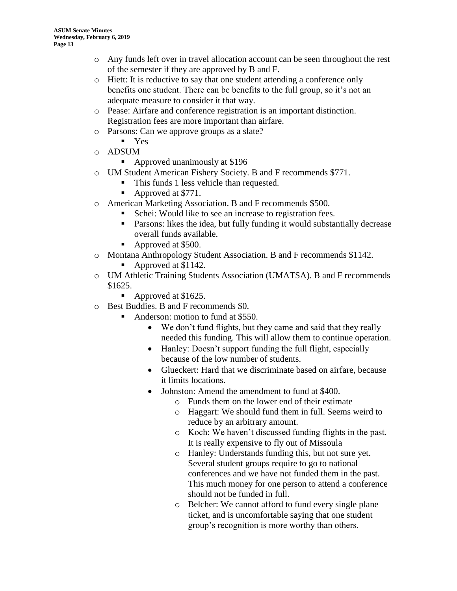- o Any funds left over in travel allocation account can be seen throughout the rest of the semester if they are approved by B and F.
- o Hiett: It is reductive to say that one student attending a conference only benefits one student. There can be benefits to the full group, so it's not an adequate measure to consider it that way.
- o Pease: Airfare and conference registration is an important distinction. Registration fees are more important than airfare.
- o Parsons: Can we approve groups as a slate?
	- Yes
- o ADSUM
	- Approved unanimously at \$196
- o UM Student American Fishery Society. B and F recommends \$771.
	- This funds 1 less vehicle than requested.
	- Approved at \$771.
- o American Marketing Association. B and F recommends \$500.
	- Schei: Would like to see an increase to registration fees.
	- **•** Parsons: likes the idea, but fully funding it would substantially decrease overall funds available.
	- Approved at \$500.
- o Montana Anthropology Student Association. B and F recommends \$1142.
	- Approved at \$1142.
- o UM Athletic Training Students Association (UMATSA). B and F recommends \$1625.
	- Approved at \$1625.
- o Best Buddies. B and F recommends \$0.
	- Anderson: motion to fund at \$550.
		- We don't fund flights, but they came and said that they really needed this funding. This will allow them to continue operation.
		- Hanley: Doesn't support funding the full flight, especially because of the low number of students.
		- Glueckert: Hard that we discriminate based on airfare, because it limits locations.
		- Johnston: Amend the amendment to fund at \$400.
			- o Funds them on the lower end of their estimate
			- o Haggart: We should fund them in full. Seems weird to reduce by an arbitrary amount.
			- o Koch: We haven't discussed funding flights in the past. It is really expensive to fly out of Missoula
			- o Hanley: Understands funding this, but not sure yet. Several student groups require to go to national conferences and we have not funded them in the past. This much money for one person to attend a conference should not be funded in full.
			- o Belcher: We cannot afford to fund every single plane ticket, and is uncomfortable saying that one student group's recognition is more worthy than others.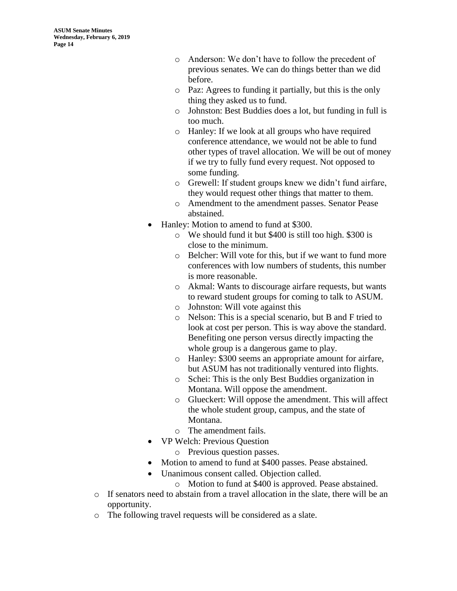- o Anderson: We don't have to follow the precedent of previous senates. We can do things better than we did before.
- o Paz: Agrees to funding it partially, but this is the only thing they asked us to fund.
- o Johnston: Best Buddies does a lot, but funding in full is too much.
- o Hanley: If we look at all groups who have required conference attendance, we would not be able to fund other types of travel allocation. We will be out of money if we try to fully fund every request. Not opposed to some funding.
- o Grewell: If student groups knew we didn't fund airfare, they would request other things that matter to them.
- o Amendment to the amendment passes. Senator Pease abstained.
- Hanley: Motion to amend to fund at \$300.
	- o We should fund it but \$400 is still too high. \$300 is close to the minimum.
	- o Belcher: Will vote for this, but if we want to fund more conferences with low numbers of students, this number is more reasonable.
	- o Akmal: Wants to discourage airfare requests, but wants to reward student groups for coming to talk to ASUM.
	- o Johnston: Will vote against this
	- o Nelson: This is a special scenario, but B and F tried to look at cost per person. This is way above the standard. Benefiting one person versus directly impacting the whole group is a dangerous game to play.
	- o Hanley: \$300 seems an appropriate amount for airfare, but ASUM has not traditionally ventured into flights.
	- o Schei: This is the only Best Buddies organization in Montana. Will oppose the amendment.
	- o Glueckert: Will oppose the amendment. This will affect the whole student group, campus, and the state of Montana.
	- o The amendment fails.
- VP Welch: Previous Question
	- o Previous question passes.
- Motion to amend to fund at \$400 passes. Pease abstained.
- Unanimous consent called. Objection called.
	- o Motion to fund at \$400 is approved. Pease abstained.
- $\circ$  If senators need to abstain from a travel allocation in the slate, there will be an opportunity.
- o The following travel requests will be considered as a slate.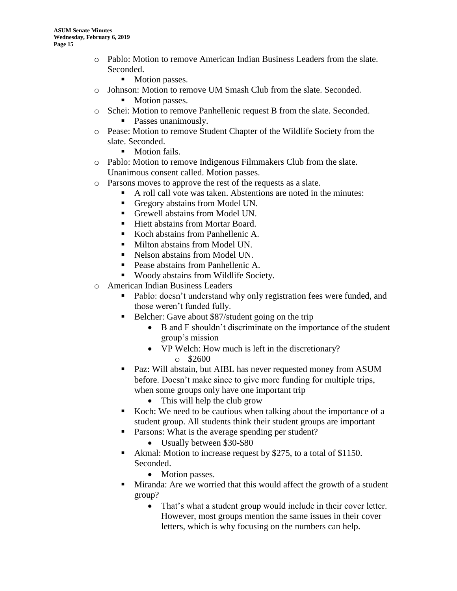- o Pablo: Motion to remove American Indian Business Leaders from the slate. Seconded.
	- Motion passes.
- o Johnson: Motion to remove UM Smash Club from the slate. Seconded.
	- Motion passes.
- o Schei: Motion to remove Panhellenic request B from the slate. Seconded. ■ Passes unanimously.
- o Pease: Motion to remove Student Chapter of the Wildlife Society from the slate. Seconded.
	- Motion fails.
- o Pablo: Motion to remove Indigenous Filmmakers Club from the slate. Unanimous consent called. Motion passes.
- o Parsons moves to approve the rest of the requests as a slate.
	- A roll call vote was taken. Abstentions are noted in the minutes:
	- Gregory abstains from Model UN.
	- Grewell abstains from Model UN.
	- Hiett abstains from Mortar Board.
	- Koch abstains from Panhellenic A.
	- Milton abstains from Model UN.
	- Nelson abstains from Model UN.
	- Pease abstains from Panhellenic A.
	- Woody abstains from Wildlife Society.
- o American Indian Business Leaders
	- Pablo: doesn't understand why only registration fees were funded, and those weren't funded fully.
	- Belcher: Gave about \$87/student going on the trip
		- B and F shouldn't discriminate on the importance of the student group's mission
		- VP Welch: How much is left in the discretionary?  $\circ$  \$2600
	- Paz: Will abstain, but AIBL has never requested money from ASUM before. Doesn't make since to give more funding for multiple trips, when some groups only have one important trip
		- This will help the club grow
	- Koch: We need to be cautious when talking about the importance of a student group. All students think their student groups are important
	- Parsons: What is the average spending per student?
		- Usually between \$30-\$80
	- Akmal: Motion to increase request by \$275, to a total of \$1150. Seconded.
		- Motion passes.
	- Miranda: Are we worried that this would affect the growth of a student group?
		- That's what a student group would include in their cover letter. However, most groups mention the same issues in their cover letters, which is why focusing on the numbers can help.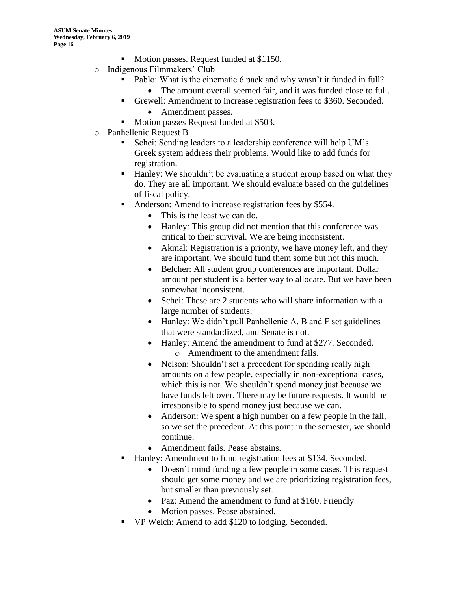- Motion passes. Request funded at \$1150.
- o Indigenous Filmmakers' Club
	- Pablo: What is the cinematic 6 pack and why wasn't it funded in full?
		- The amount overall seemed fair, and it was funded close to full.
	- Grewell: Amendment to increase registration fees to \$360. Seconded.
		- Amendment passes.
		- Motion passes Request funded at \$503.
- o Panhellenic Request B
	- Schei: Sending leaders to a leadership conference will help UM's Greek system address their problems. Would like to add funds for registration.
	- Hanley: We shouldn't be evaluating a student group based on what they do. They are all important. We should evaluate based on the guidelines of fiscal policy.
	- Anderson: Amend to increase registration fees by \$554.
		- This is the least we can do.
		- Hanley: This group did not mention that this conference was critical to their survival. We are being inconsistent.
		- Akmal: Registration is a priority, we have money left, and they are important. We should fund them some but not this much.
		- Belcher: All student group conferences are important. Dollar amount per student is a better way to allocate. But we have been somewhat inconsistent.
		- Schei: These are 2 students who will share information with a large number of students.
		- Hanley: We didn't pull Panhellenic A. B and F set guidelines that were standardized, and Senate is not.
		- Hanley: Amend the amendment to fund at \$277. Seconded. o Amendment to the amendment fails.
		- Nelson: Shouldn't set a precedent for spending really high amounts on a few people, especially in non-exceptional cases, which this is not. We shouldn't spend money just because we have funds left over. There may be future requests. It would be irresponsible to spend money just because we can.
		- Anderson: We spent a high number on a few people in the fall, so we set the precedent. At this point in the semester, we should continue.
		- Amendment fails. Pease abstains.
	- Hanley: Amendment to fund registration fees at \$134. Seconded.
		- Doesn't mind funding a few people in some cases. This request should get some money and we are prioritizing registration fees, but smaller than previously set.
		- Paz: Amend the amendment to fund at \$160. Friendly
		- Motion passes. Pease abstained.
	- VP Welch: Amend to add \$120 to lodging. Seconded.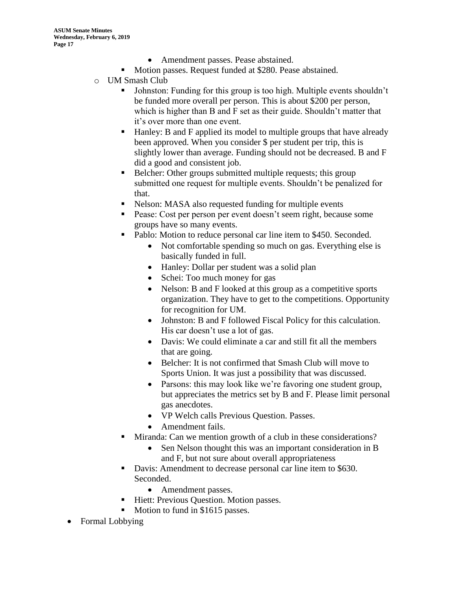- Amendment passes. Pease abstained.
- Motion passes. Request funded at \$280. Pease abstained.
- o UM Smash Club
	- Johnston: Funding for this group is too high. Multiple events shouldn't be funded more overall per person. This is about \$200 per person, which is higher than B and F set as their guide. Shouldn't matter that it's over more than one event.
	- Hanley: B and F applied its model to multiple groups that have already been approved. When you consider \$ per student per trip, this is slightly lower than average. Funding should not be decreased. B and F did a good and consistent job.
	- Belcher: Other groups submitted multiple requests; this group submitted one request for multiple events. Shouldn't be penalized for that.
	- Nelson: MASA also requested funding for multiple events
	- Pease: Cost per person per event doesn't seem right, because some groups have so many events.
	- Pablo: Motion to reduce personal car line item to \$450. Seconded.
		- Not comfortable spending so much on gas. Everything else is basically funded in full.
		- Hanley: Dollar per student was a solid plan
		- Schei: Too much money for gas
		- Nelson: B and F looked at this group as a competitive sports organization. They have to get to the competitions. Opportunity for recognition for UM.
		- Johnston: B and F followed Fiscal Policy for this calculation. His car doesn't use a lot of gas.
		- Davis: We could eliminate a car and still fit all the members that are going.
		- Belcher: It is not confirmed that Smash Club will move to Sports Union. It was just a possibility that was discussed.
		- Parsons: this may look like we're favoring one student group, but appreciates the metrics set by B and F. Please limit personal gas anecdotes.
		- VP Welch calls Previous Question. Passes.
		- Amendment fails.
	- Miranda: Can we mention growth of a club in these considerations?
		- Sen Nelson thought this was an important consideration in B and F, but not sure about overall appropriateness
	- Davis: Amendment to decrease personal car line item to \$630. Seconded.
		- Amendment passes.
	- Hiett: Previous Question. Motion passes.
	- Motion to fund in \$1615 passes.
- Formal Lobbying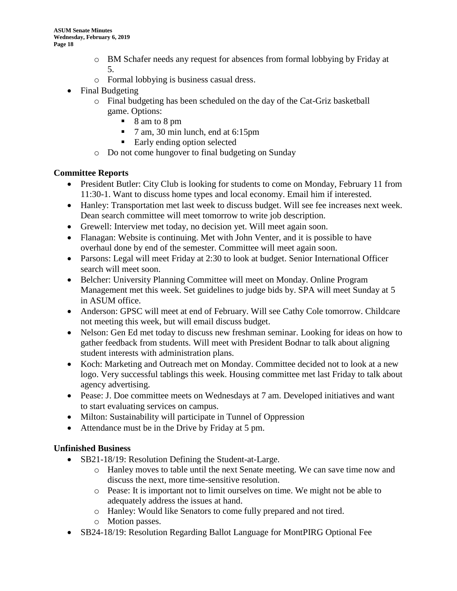- o BM Schafer needs any request for absences from formal lobbying by Friday at 5.
- o Formal lobbying is business casual dress.
- Final Budgeting
	- o Final budgeting has been scheduled on the day of the Cat-Griz basketball game. Options:
		- 8 am to 8 pm
		- 7 am, 30 min lunch, end at 6:15pm
		- Early ending option selected
	- o Do not come hungover to final budgeting on Sunday

#### **Committee Reports**

- President Butler: City Club is looking for students to come on Monday, February 11 from 11:30-1. Want to discuss home types and local economy. Email him if interested.
- Hanley: Transportation met last week to discuss budget. Will see fee increases next week. Dean search committee will meet tomorrow to write job description.
- Grewell: Interview met today, no decision yet. Will meet again soon.
- Flanagan: Website is continuing. Met with John Venter, and it is possible to have overhaul done by end of the semester. Committee will meet again soon.
- Parsons: Legal will meet Friday at 2:30 to look at budget. Senior International Officer search will meet soon.
- Belcher: University Planning Committee will meet on Monday. Online Program Management met this week. Set guidelines to judge bids by. SPA will meet Sunday at 5 in ASUM office.
- Anderson: GPSC will meet at end of February. Will see Cathy Cole tomorrow. Childcare not meeting this week, but will email discuss budget.
- Nelson: Gen Ed met today to discuss new freshman seminar. Looking for ideas on how to gather feedback from students. Will meet with President Bodnar to talk about aligning student interests with administration plans.
- Koch: Marketing and Outreach met on Monday. Committee decided not to look at a new logo. Very successful tablings this week. Housing committee met last Friday to talk about agency advertising.
- Pease: J. Doe committee meets on Wednesdays at 7 am. Developed initiatives and want to start evaluating services on campus.
- Milton: Sustainability will participate in Tunnel of Oppression
- Attendance must be in the Drive by Friday at 5 pm.

#### **Unfinished Business**

- SB21-18/19: Resolution Defining the Student-at-Large.
	- o Hanley moves to table until the next Senate meeting. We can save time now and discuss the next, more time-sensitive resolution.
	- o Pease: It is important not to limit ourselves on time. We might not be able to adequately address the issues at hand.
	- o Hanley: Would like Senators to come fully prepared and not tired.
	- o Motion passes.
- SB24-18/19: Resolution Regarding Ballot Language for MontPIRG Optional Fee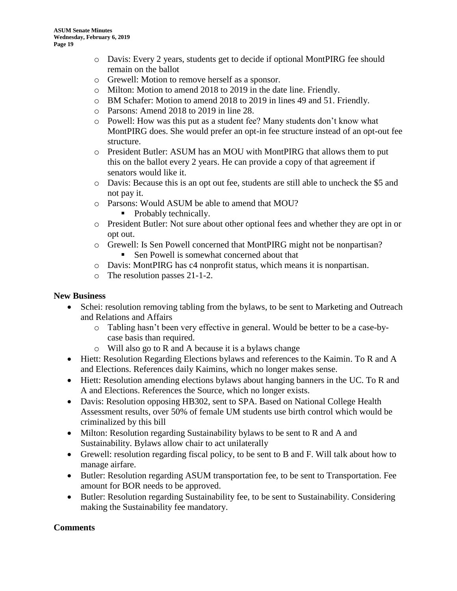- o Davis: Every 2 years, students get to decide if optional MontPIRG fee should remain on the ballot
- o Grewell: Motion to remove herself as a sponsor.
- o Milton: Motion to amend 2018 to 2019 in the date line. Friendly.
- o BM Schafer: Motion to amend 2018 to 2019 in lines 49 and 51. Friendly.
- o Parsons: Amend 2018 to 2019 in line 28.
- o Powell: How was this put as a student fee? Many students don't know what MontPIRG does. She would prefer an opt-in fee structure instead of an opt-out fee structure.
- o President Butler: ASUM has an MOU with MontPIRG that allows them to put this on the ballot every 2 years. He can provide a copy of that agreement if senators would like it.
- o Davis: Because this is an opt out fee, students are still able to uncheck the \$5 and not pay it.
- o Parsons: Would ASUM be able to amend that MOU?
	- Probably technically.
- o President Butler: Not sure about other optional fees and whether they are opt in or opt out.
- o Grewell: Is Sen Powell concerned that MontPIRG might not be nonpartisan?
	- Sen Powell is somewhat concerned about that
- o Davis: MontPIRG has c4 nonprofit status, which means it is nonpartisan.
- o The resolution passes 21-1-2.

#### **New Business**

- Schei: resolution removing tabling from the bylaws, to be sent to Marketing and Outreach and Relations and Affairs
	- o Tabling hasn't been very effective in general. Would be better to be a case-bycase basis than required.
	- o Will also go to R and A because it is a bylaws change
- Hiett: Resolution Regarding Elections bylaws and references to the Kaimin. To R and A and Elections. References daily Kaimins, which no longer makes sense.
- Hiett: Resolution amending elections bylaws about hanging banners in the UC. To R and A and Elections. References the Source, which no longer exists.
- Davis: Resolution opposing HB302, sent to SPA. Based on National College Health Assessment results, over 50% of female UM students use birth control which would be criminalized by this bill
- Milton: Resolution regarding Sustainability bylaws to be sent to R and A and Sustainability. Bylaws allow chair to act unilaterally
- Grewell: resolution regarding fiscal policy, to be sent to B and F. Will talk about how to manage airfare.
- Butler: Resolution regarding ASUM transportation fee, to be sent to Transportation. Fee amount for BOR needs to be approved.
- Butler: Resolution regarding Sustainability fee, to be sent to Sustainability. Considering making the Sustainability fee mandatory.

#### **Comments**